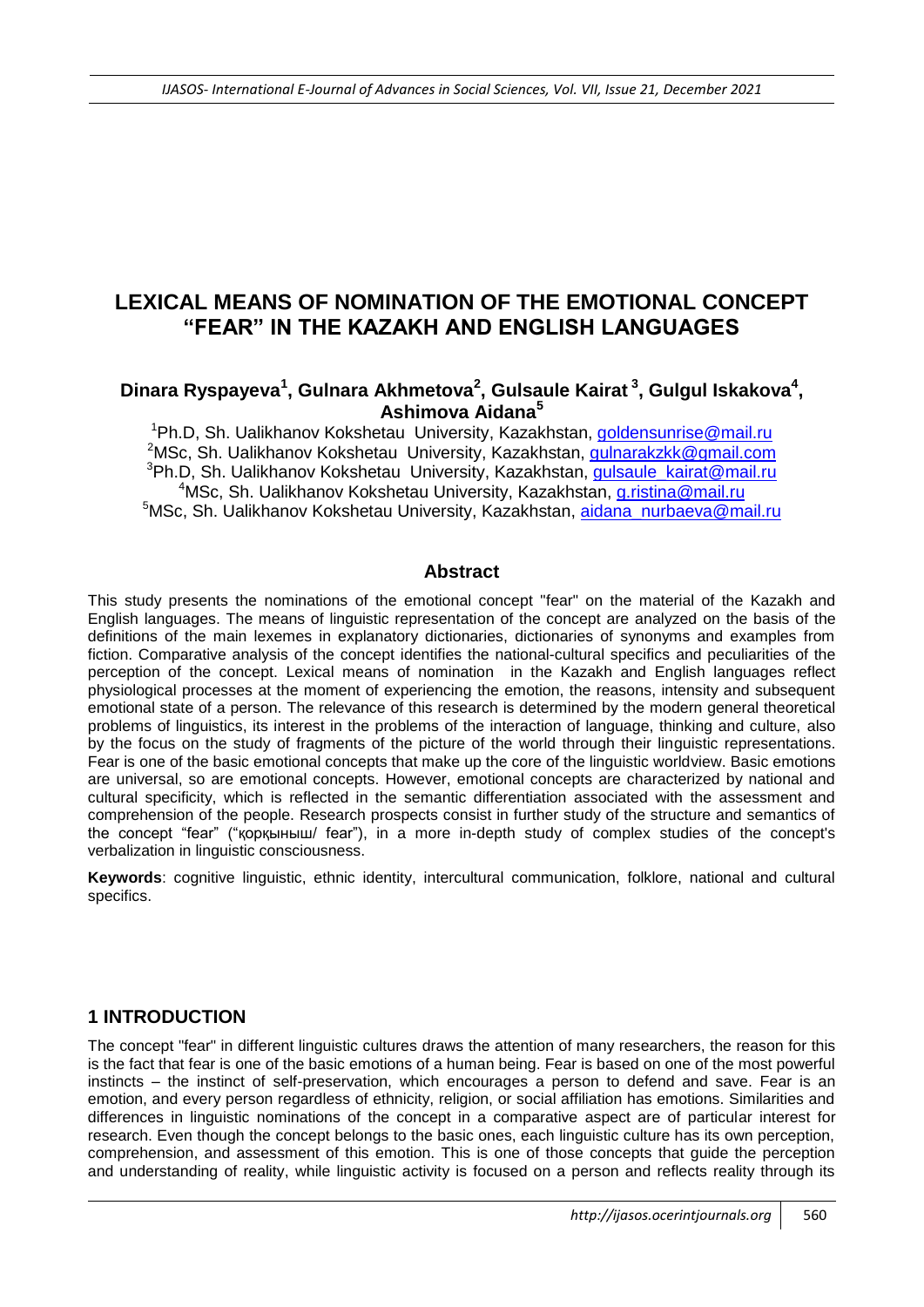# **LEXICAL MEANS OF NOMINATION OF THE EMOTIONAL CONCEPT "FEAR" IN THE KAZAKH AND ENGLISH LANGUAGES**

## Dinara Ryspayeva<sup>1</sup>, Gulnara Akhmetova<sup>2</sup>, Gulsaule Kairat<sup>3</sup>, Gulgul Iskakova<sup>4</sup>, **Ashimova Aidana<sup>5</sup>**

<sup>1</sup>Ph.D, Sh. Ualikhanov Kokshetau University, Kazakhstan, [goldensunrise@mail.ru](mailto:goldensunrise@mail.ru) <sup>2</sup>MSc, Sh. Ualikhanov Kokshetau University, Kazakhstan, *gulnarakzkk@gmail.com* <sup>3</sup>Ph.D, Sh. Ualikhanov Kokshetau University, Kazakhstan, **gulsaule\_kairat@mail.ru** <sup>4</sup>MSc, Sh. Ualikhanov Kokshetau University, Kazakhstan, [g.ristina@mail.ru](mailto:g.ristina@mail.ru) <sup>5</sup>MSc, Sh. Ualikhanov Kokshetau University, Kazakhstan, [aidana\\_nurbaeva@mail.ru](mailto:aidana_nurbaeva@mail.ru)

#### **Abstract**

This study presents the nominations of the emotional concept "fear" on the material of the Kazakh and English languages. The means of linguistic representation of the concept are analyzed on the basis of the definitions of the main lexemes in explanatory dictionaries, dictionaries of synonyms and examples from fiction. Comparative analysis of the concept identifies the national-cultural specifics and peculiarities of the perception of the concept. Lexical means of nomination in the Kazakh and English languages reflect physiological processes at the moment of experiencing the emotion, the reasons, intensity and subsequent emotional state of a person. The relevance of this research is determined by the modern general theoretical problems of linguistics, its interest in the problems of the interaction of language, thinking and culture, also by the focus on the study of fragments of the picture of the world through their linguistic representations. Fear is one of the basic emotional concepts that make up the core of the linguistic worldview. Basic emotions are universal, so are emotional concepts. However, emotional concepts are characterized by national and cultural specificity, which is reflected in the semantic differentiation associated with the assessment and comprehension of the people. Research prospects consist in further study of the structure and semantics of the concept "fear" ("қорқыныш/ fear"), in a more in-depth study of complex studies of the concept's verbalization in linguistic consciousness.

**Keywords**: cognitive linguistic, ethnic identity, intercultural communication, folklore, national and cultural specifics.

### **1 INTRODUCTION**

The concept "fear" in different linguistic cultures draws the attention of many researchers, the reason for this is the fact that fear is one of the basic emotions of a human being. Fear is based on one of the most powerful instincts – the instinct of self-preservation, which encourages a person to defend and save. Fear is an emotion, and every person regardless of ethnicity, religion, or social affiliation has emotions. Similarities and differences in linguistic nominations of the concept in a comparative aspect are of particular interest for research. Even though the concept belongs to the basic ones, each linguistic culture has its own perception, comprehension, and assessment of this emotion. This is one of those concepts that guide the perception and understanding of reality, while linguistic activity is focused on a person and reflects reality through its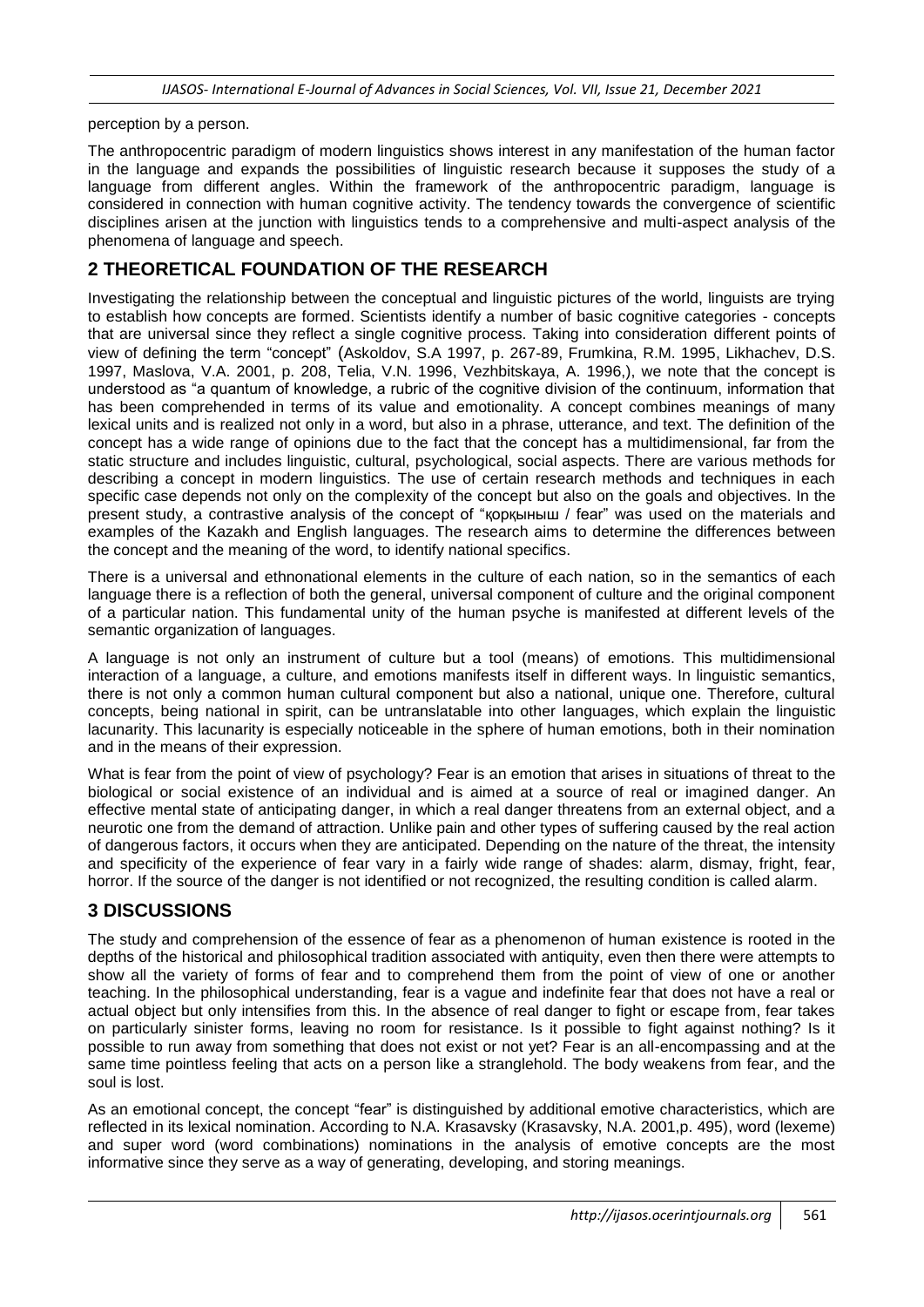perception by a person.

The anthropocentric paradigm of modern linguistics shows interest in any manifestation of the human factor in the language and expands the possibilities of linguistic research because it supposes the study of a language from different angles. Within the framework of the anthropocentric paradigm, language is considered in connection with human cognitive activity. The tendency towards the convergence of scientific disciplines arisen at the junction with linguistics tends to a comprehensive and multi-aspect analysis of the phenomena of language and speech.

# **2 THEORETICAL FOUNDATION OF THE RESEARCH**

Investigating the relationship between the conceptual and linguistic pictures of the world, linguists are trying to establish how concepts are formed. Scientists identify a number of basic cognitive categories - concepts that are universal since they reflect a single cognitive process. Taking into consideration different points of view of defining the term "concept" (Askoldov, S.A 1997, p. 267-89, Frumkina, R.M. 1995, Likhachev, D.S. 1997, Maslova, V.A. 2001, p. 208, Telia, V.N. 1996, Vezhbitskaya, A. 1996,), we note that the concept is understood as "a quantum of knowledge, a rubric of the cognitive division of the continuum, information that has been comprehended in terms of its value and emotionality. A concept combines meanings of many lexical units and is realized not only in a word, but also in a phrase, utterance, and text. The definition of the concept has a wide range of opinions due to the fact that the concept has a multidimensional, far from the static structure and includes linguistic, cultural, psychological, social aspects. There are various methods for describing a concept in modern linguistics. The use of certain research methods and techniques in each specific case depends not only on the complexity of the concept but also on the goals and objectives. In the present study, a contrastive analysis of the concept of "қорқыныш / fear" was used on the materials and examples of the Kazakh and English languages. The research aims to determine the differences between the concept and the meaning of the word, to identify national specifics.

There is a universal and ethnonational elements in the culture of each nation, so in the semantics of each language there is a reflection of both the general, universal component of culture and the original component of a particular nation. This fundamental unity of the human psyche is manifested at different levels of the semantic organization of languages.

A language is not only an instrument of culture but a tool (means) of emotions. This multidimensional interaction of a language, a culture, and emotions manifests itself in different ways. In linguistic semantics, there is not only a common human cultural component but also a national, unique one. Therefore, cultural concepts, being national in spirit, can be untranslatable into other languages, which explain the linguistic lacunarity. This lacunarity is especially noticeable in the sphere of human emotions, both in their nomination and in the means of their expression.

What is fear from the point of view of psychology? Fear is an emotion that arises in situations of threat to the biological or social existence of an individual and is aimed at a source of real or imagined danger. An effective mental state of anticipating danger, in which a real danger threatens from an external object, and a neurotic one from the demand of attraction. Unlike pain and other types of suffering caused by the real action of dangerous factors, it occurs when they are anticipated. Depending on the nature of the threat, the intensity and specificity of the experience of fear vary in a fairly wide range of shades: alarm, dismay, fright, fear, horror. If the source of the danger is not identified or not recognized, the resulting condition is called alarm.

# **3 DISCUSSIONS**

The study and comprehension of the essence of fear as a phenomenon of human existence is rooted in the depths of the historical and philosophical tradition associated with antiquity, even then there were attempts to show all the variety of forms of fear and to comprehend them from the point of view of one or another teaching. In the philosophical understanding, fear is a vague and indefinite fear that does not have a real or actual object but only intensifies from this. In the absence of real danger to fight or escape from, fear takes on particularly sinister forms, leaving no room for resistance. Is it possible to fight against nothing? Is it possible to run away from something that does not exist or not yet? Fear is an all-encompassing and at the same time pointless feeling that acts on a person like a stranglehold. The body weakens from fear, and the soul is lost.

As an emotional concept, the concept "fear" is distinguished by additional emotive characteristics, which are reflected in its lexical nomination. According to N.A. Krasavsky (Krasavsky, N.A. 2001,p. 495), word (lexeme) and super word (word combinations) nominations in the analysis of emotive concepts are the most informative since they serve as a way of generating, developing, and storing meanings.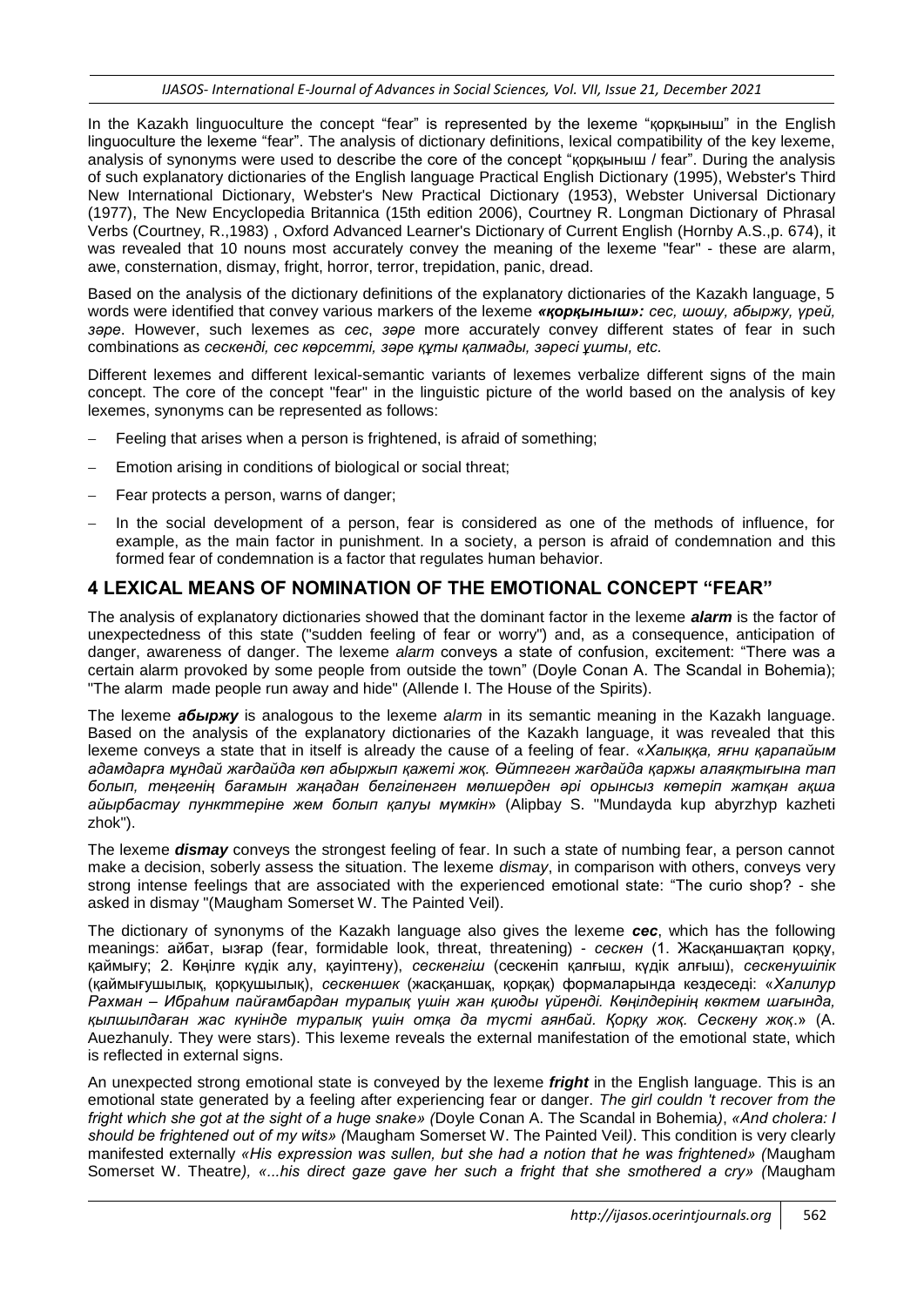In the Kazakh linguoculture the concept "fear" is represented by the lexeme "қорқыныш" in the English linguoculture the lexeme "fear". The analysis of dictionary definitions, lexical compatibility of the key lexeme, analysis of synonyms were used to describe the core of the concept "қорқыныш / fear". During the analysis of such explanatory dictionaries of the English language Practical English Dictionary (1995), Webster's Third New International Dictionary, Webster's New Practical Dictionary (1953), Webster Universal Dictionary (1977), The New Encyclopedia Britannica (15th edition 2006), Courtney R. Longman Dictionary of Phrasal Verbs (Courtney, R.,1983) , Oxford Advanced Learner's Dictionary of Current English (Hornby A.S.,p. 674), it was revealed that 10 nouns most accurately convey the meaning of the lexeme "fear" - these are alarm, awe, consternation, dismay, fright, horror, terror, trepidation, panic, dread.

Based on the analysis of the dictionary definitions of the explanatory dictionaries of the Kazakh language, 5 words were identified that convey various markers of the lexeme *«қорқыныш»: сес, шошу, абыржу, үрей, зәре*. However, such lexemes as *сес*, *зәре* more accurately convey different states of fear in such combinations as *сескенді, сес көрсетті, зәре құты қалмады, зәресі ұшты, etc.*

Different lexemes and different lexical-semantic variants of lexemes verbalize different signs of the main concept. The core of the concept "fear" in the linguistic picture of the world based on the analysis of key lexemes, synonyms can be represented as follows:

- Feeling that arises when a person is frightened, is afraid of something;
- Emotion arising in conditions of biological or social threat;
- Fear protects a person, warns of danger;
- In the social development of a person, fear is considered as one of the methods of influence, for example, as the main factor in punishment. In a society, a person is afraid of condemnation and this formed fear of condemnation is a factor that regulates human behavior.

### **4 LEXICAL MEANS OF NOMINATION OF THE EMOTIONAL CONCEPT "FEAR"**

The analysis of explanatory dictionaries showed that the dominant factor in the lexeme *alarm* is the factor of unexpectedness of this state ("sudden feeling of fear or worry") and, as a consequence, anticipation of danger, awareness of danger. The lexeme *alarm* conveys a state of confusion, excitement: "There was a certain alarm provoked by some people from outside the town" (Doyle Conan A. The Scandal in Bohemia); "The alarm made people run away and hide" (Allende I. The House of the Spirits).

The lexeme *абыржу* is analogous to the lexeme *alarm* in its semantic meaning in the Kazakh language. Based on the analysis of the explanatory dictionaries of the Kazakh language, it was revealed that this lexeme conveys a state that in itself is already the cause of a feeling of fear. «*Халыққа, яғни қарапайым адамдарға мұндай жағдайда көп абыржып қажеті жоқ. Өйтпеген жағдайда қаржы алаяқтығына тап болып, теңгенің бағамын жаңадан белгіленген мөлшерден әрі орынсыз көтеріп жатқан ақша айырбастау пункттеріне жем болып қалуы мүмкін*» (Alipbay S. "Mundayda kup abyrzhyp kazheti zhok").

The lexeme *dismay* conveys the strongest feeling of fear. In such a state of numbing fear, a person cannot make a decision, soberly assess the situation. The lexeme *dismay*, in comparison with others, conveys very strong intense feelings that are associated with the experienced emotional state: "The curio shop? - she asked in dismay "(Maugham Somerset W. The Painted Veil).

The dictionary of synonyms of the Kazakh language also gives the lexeme *сес*, which has the following meanings: айбат, ызғар (fear, formidable look, threat, threatening) - *сескен* (1. Жасқаншақтап қорқу, қаймығу; 2. Көңілге күдік алу, қауіптену), *сескенгіш* (сескеніп қалғыш, күдік алғыш), *сескенушілік* (қаймығушылық, қорқушылық), *сескеншек* (жасқаншақ, қорқақ) формаларында кездеседі: «*Халилур Рахман – Ибраһим пайғамбардан туралық үшін жан қиюды үйренді. Көңілдерінің көктем шағында, қылшылдаған жас күнінде туралық үшін отқа да түсті аянбай. Қорқу жоқ. Сескену жоқ*.» (A. Auezhanuly. They were stars). This lexeme reveals the external manifestation of the emotional state, which is reflected in external signs.

An unexpected strong emotional state is conveyed by the lexeme *fright* in the English language. This is an emotional state generated by a feeling after experiencing fear or danger. *The girl couldn 't recover from the fright which she got at the sight of a huge snake» (*Doyle Conan A. The Scandal in Bohemia*)*, *«And cholera: I should be frightened out of my wits» (*Maugham Somerset W. The Painted Veil*)*. This condition is very clearly manifested externally *«His expression was sullen, but she had a notion that he was frightened» (*Maugham Somerset W. Theatre*), «...his direct gaze gave her such a fright that she smothered a cry» (*Maugham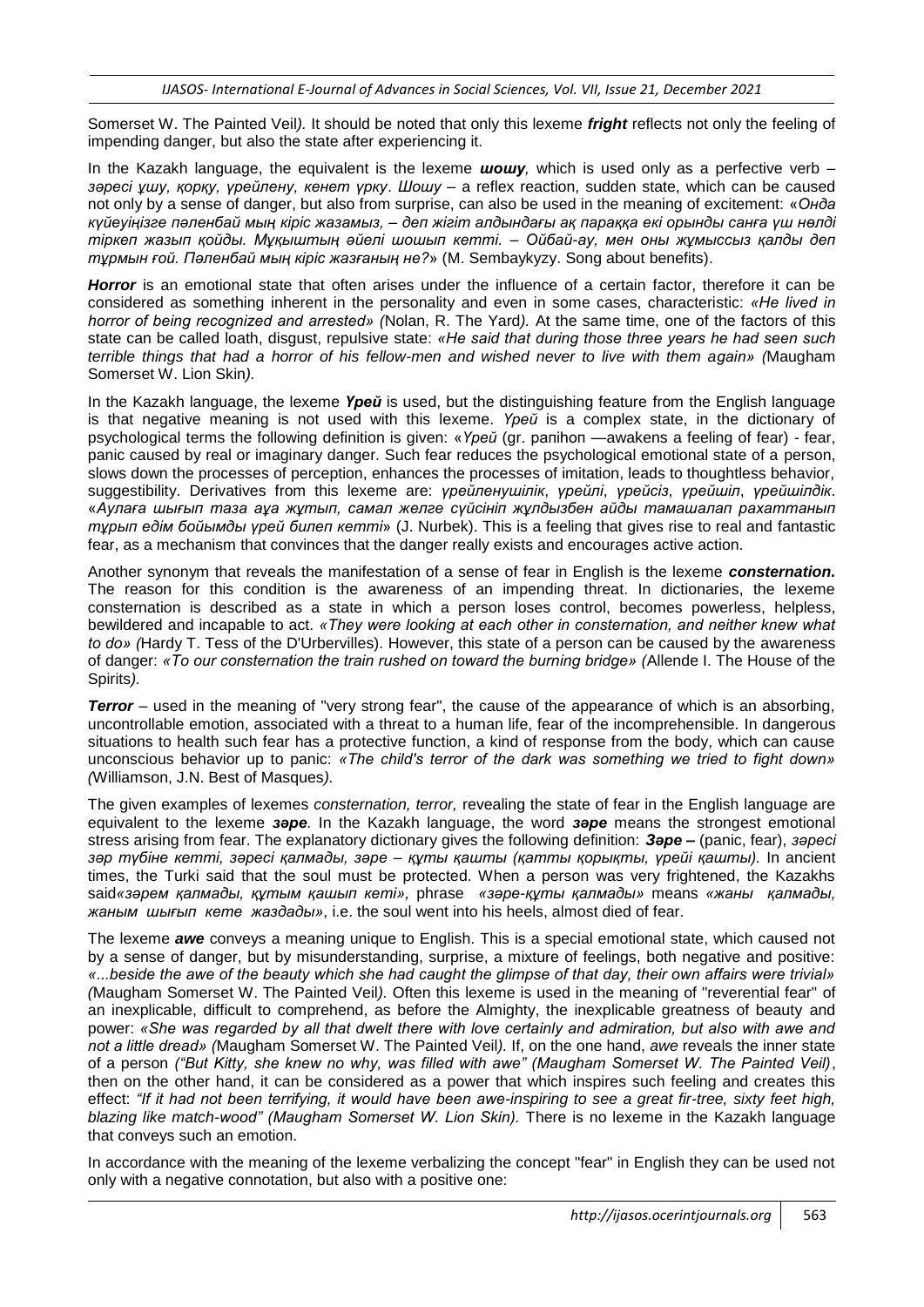Somerset W. The Painted Veil*).* It should be noted that only this lexeme *fright* reflects not only the feeling of impending danger, but also the state after experiencing it.

In the Kazakh language, the equivalent is the lexeme *шошу,* which is used only as a perfective verb – *зәресі ұшу, қорқу, үрейлену, кенет үрку*. *Шошу* – a reflex reaction, sudden state, which can be caused not only by a sense of danger, but also from surprise, can also be used in the meaning of excitement: «*Онда күйеуіңізге пәленбай мың кіріс жазамыз, – деп жігіт алдындағы ақ параққа екі орынды санға үш нөлді тіркеп жазып қойды. Мұқыштың әйелі шошып кетті. – Ойбай-ау, мен оны жұмыссыз қалды деп тұрмын ғой. Пәленбай мың кіріс жазғаның не?*» (M. Sembaykyzy. Song about benefits).

*Horror* is an emotional state that often arises under the influence of a certain factor, therefore it can be considered as something inherent in the personality and even in some cases, characteristic: *«Не lived in horror of being recognized and arrested» (*Nolan, R. The Yard*).* At the same time, one of the factors of this state can be called loath, disgust, repulsive state: *«He said that during those three years he had seen such terrible things that had a horror of his fellow-men and wished never to live with them again» (*Maugham Somerset W. Lion Skin*).*

In the Kazakh language, the lexeme *Үрей* is used, but the distinguishing feature from the English language is that negative meaning is not used with this lexeme. *Үрей* is a complex state, in the dictionary of psychological terms the following definition is given: «*Үрей* (gr. рапіһоп —awakens a feeling of fear) - fear, panic caused by real or imaginary danger. Such fear reduces the psychological emotional state of a person, slows down the processes of perception, enhances the processes of imitation, leads to thoughtless behavior, suggestibility. Derivatives from this lexeme are: *үрейленушілік*, *үрейлі*, *үрейсіз*, *үрейшіл*, *үрейшілдік*. «*Аулаға шығып таза аұа жұтып, самал желге сүйсініп жұлдызбен айды тамашалап рахаттанып тұрып едім бойымды үрей билеп кетті*» (J. Nurbek). This is a feeling that gives rise to real and fantastic fear, as a mechanism that convinces that the danger really exists and encourages active action.

Another synonym that reveals the manifestation of a sense of fear in English is the lexeme *consternation.* The reason for this condition is the awareness of an impending threat. In dictionaries, the lexeme consternation is described as a state in which a person loses control, becomes powerless, helpless, bewildered and incapable to act. *«They were looking at each other in consternation, and neither knew what to do» (*Hardy T. Tess of the D'Urbervilles). However, this state of a person can be caused by the awareness of danger: *«То our consternation the train rushed on toward the burning bridge» (*Allende I. The House of the Spirits*).*

*Terror* – used in the meaning of "very strong fear", the cause of the appearance of which is an absorbing, uncontrollable emotion, associated with a threat to a human life, fear of the incomprehensible. In dangerous situations to health such fear has a protective function, a kind of response from the body, which can cause unconscious behavior up to panic: *«The child's terror of the dark was something we tried to fight down» (*Williamson, J.N. Best of Masques*).*

The given examples of lexemes *consternation, terror,* revealing the state of fear in the English language are equivalent to the lexeme *зәре*. In the Kazakh language, the word *зәре* means the strongest emotional stress arising from fear. The explanatory dictionary gives the following definition: *Зәре –* (panic, fear), *зәресі зәр түбіне кетті, зәресі қалмады, зәре – құты қашты (қатты қорықты, үрейі қашты).* In ancient times, the Turki said that the soul must be protected. When a person was very frightened, the Kazakhs said*«зәрем қалмады, құтым қашып кеті»,* phrase *«зәре-құты қалмады»* means *«жаны қалмады, жаным шығып кете жаздады»*, i.e. the soul went into his heels, almost died of fear.

The lexeme *awe* conveys a meaning unique to English. This is a special emotional state, which caused not by a sense of danger, but by misunderstanding, surprise, a mixture of feelings, both negative and positive: *«...beside the awe of the beauty which she had caught the glimpse of that day, their own affairs were trivial» (*Maugham Somerset W. The Painted Veil*).* Often this lexeme is used in the meaning of "reverential fear" of an inexplicable, difficult to comprehend, as before the Almighty, the inexplicable greatness of beauty and power: *«She was regarded by all that dwelt there with love certainly and admiration, but also with awe and not a little dread» (*Maugham Somerset W. The Painted Veil*).* If, on the one hand, *awe* reveals the inner state of a person *("But Kitty, she knew no why, was filled with awe" (Maugham Somerset W. The Painted Veil)*, then on the other hand, it can be considered as a power that which inspires such feeling and creates this effect: *"If it had not been terrifying, it would have been awe-inspiring to see a great fir-tree, sixty feet high, blazing like match-wood" (Maugham Somerset W. Lion Skin).* There is no lexeme in the Kazakh language that conveys such an emotion.

In accordance with the meaning of the lexeme verbalizing the concept "fear" in English they can be used not only with a negative connotation, but also with a positive one: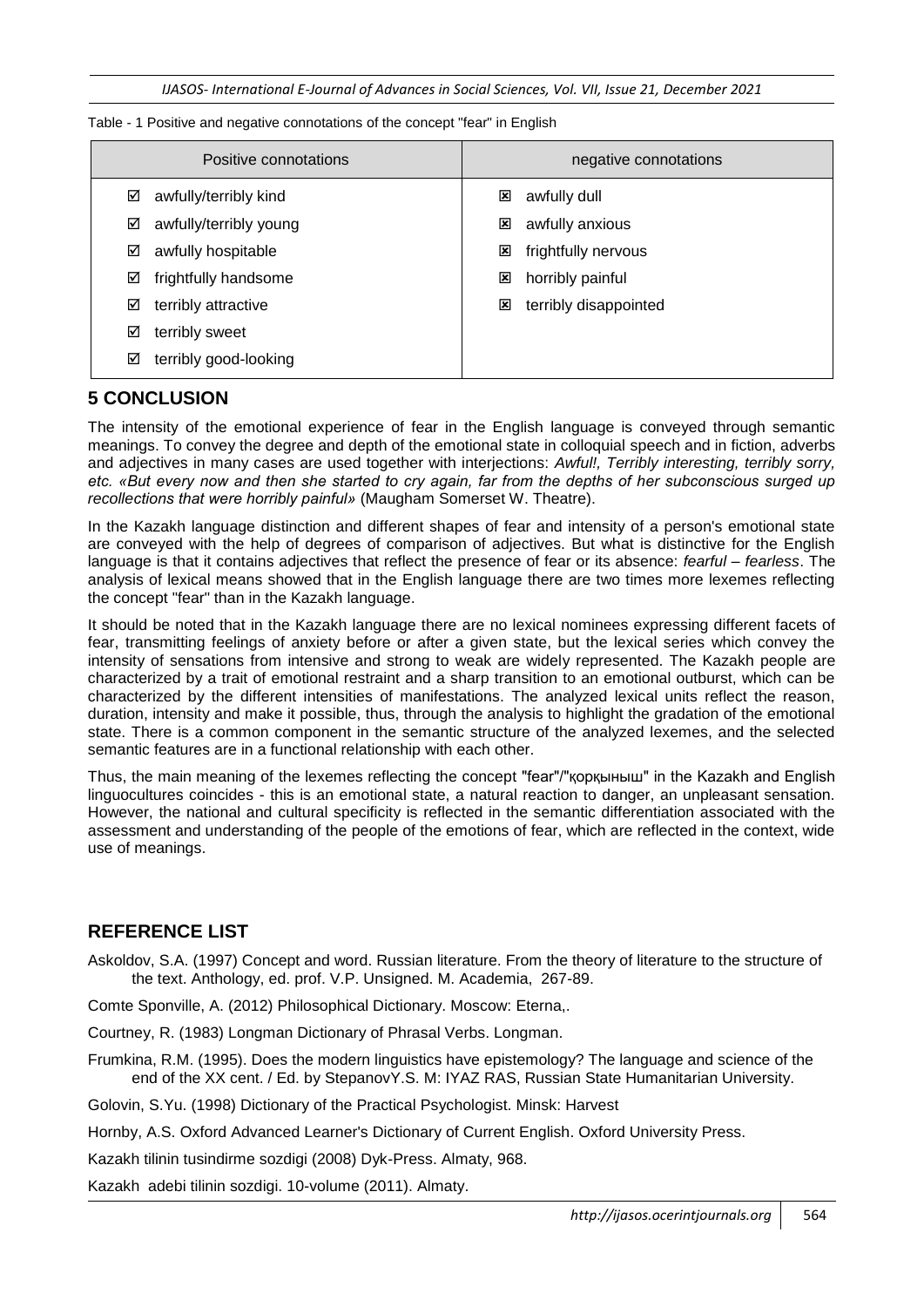*IJASOS- International E-Journal of Advances in Social Sciences, Vol. VII, Issue 21, December 2021*

Table - 1 Positive and negative connotations of the concept "fear" in English

| Positive connotations      | negative connotations |
|----------------------------|-----------------------|
| awfully/terribly kind      | awfully dull          |
| ☑                          | ⊠                     |
| awfully/terribly young     | ×                     |
| ☑                          | awfully anxious       |
| awfully hospitable         | frightfully nervous   |
| ☑                          | ⊠                     |
| frightfully handsome       | horribly painful      |
| ☑                          | ×                     |
| terribly attractive        | terribly disappointed |
| ☑                          | ⊠                     |
| terribly sweet<br>☑        |                       |
| terribly good-looking<br>☑ |                       |

### **5 CONCLUSION**

The intensity of the emotional experience of fear in the English language is conveyed through semantic meanings. To convey the degree and depth of the emotional state in colloquial speech and in fiction, adverbs and adjectives in many cases are used together with interjections: *Awful!, Terribly interesting, terribly sorry, etc. «But every now and then she started to cry again, far from the depths of her subconscious surged up recollections that were horribly painful»* (Maugham Somerset W. Theatre).

In the Kazakh language distinction and different shapes of fear and intensity of a person's emotional state are conveyed with the help of degrees of comparison of adjectives. But what is distinctive for the English language is that it contains adjectives that reflect the presence of fear or its absence: *fearful – fearless*. The analysis of lexical means showed that in the English language there are two times more lexemes reflecting the concept "fear" than in the Kazakh language.

It should be noted that in the Kazakh language there are no lexical nominees expressing different facets of fear, transmitting feelings of anxiety before or after a given state, but the lexical series which convey the intensity of sensations from intensive and strong to weak are widely represented. The Kazakh people are characterized by a trait of emotional restraint and a sharp transition to an emotional outburst, which can be characterized by the different intensities of manifestations. The analyzed lexical units reflect the reason, duration, intensity and make it possible, thus, through the analysis to highlight the gradation of the emotional state. There is a common component in the semantic structure of the analyzed lexemes, and the selected semantic features are in a functional relationship with each other.

Thus, the main meaning of the lexemes reflecting the concept "fear"/"қорқыныш" in the Kazakh and English linguocultures coincides - this is an emotional state, a natural reaction to danger, an unpleasant sensation. However, the national and cultural specificity is reflected in the semantic differentiation associated with the assessment and understanding of the people of the emotions of fear, which are reflected in the context, wide use of meanings.

### **REFERENCE LIST**

Askoldov, S.A. (1997) Concept and word. Russian literature. From the theory of literature to the structure of the text. Anthology, ed. prof. V.P. Unsigned. M. Academia, 267-89.

Comte Sponville, A. (2012) Philosophical Dictionary. Moscow: Eterna,.

- Courtney, R. (1983) Longman Dictionary of Phrasal Verbs. Longman.
- Frumkina, R.M. (1995). Does the modern linguistics have epistemology? The language and science of the end of the XX cent. / Ed. by StepanovY.S. M: IYAZ RAS, Russian State Humanitarian University.

Golovin, S.Yu. (1998) Dictionary of the Practical Psychologist. Minsk: Harvest

Hornby, A.S. Oxford Advanced Learner's Dictionary of Current English. Oxford University Press.

Kazakh tilinin tusindirme sozdigi (2008) Dyk-Press. Almaty, 968.

Kazakh adebi tilinin sozdigi. 10-volume (2011). Almaty.